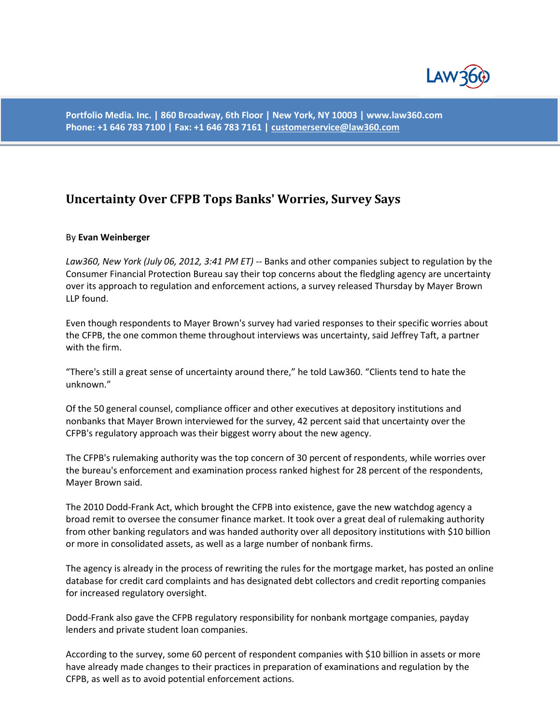

**Portfolio Media. Inc. | 860 Broadway, 6th Floor | New York, NY 10003 | www.law360.com Phone: +1 646 783 7100 | Fax: +1 646 783 7161 [| customerservice@law360.com](mailto:customerservice@law360.com)**

## **Uncertainty Over CFPB Tops Banks' Worries, Survey Says**

## By **Evan Weinberger**

*Law360, New York (July 06, 2012, 3:41 PM ET)* -- Banks and other companies subject to regulation by the Consumer Financial Protection Bureau say their top concerns about the fledgling agency are uncertainty over its approach to regulation and enforcement actions, a survey released Thursday by Mayer Brown LLP found.

Even though respondents to Mayer Brown's survey had varied responses to their specific worries about the CFPB, the one common theme throughout interviews was uncertainty, said Jeffrey Taft, a partner with the firm.

"There's still a great sense of uncertainty around there," he told Law360. "Clients tend to hate the unknown."

Of the 50 general counsel, compliance officer and other executives at depository institutions and nonbanks that Mayer Brown interviewed for the survey, 42 percent said that uncertainty over the CFPB's regulatory approach was their biggest worry about the new agency.

The CFPB's rulemaking authority was the top concern of 30 percent of respondents, while worries over the bureau's enforcement and examination process ranked highest for 28 percent of the respondents, Mayer Brown said.

The 2010 Dodd-Frank Act, which brought the CFPB into existence, gave the new watchdog agency a broad remit to oversee the consumer finance market. It took over a great deal of rulemaking authority from other banking regulators and was handed authority over all depository institutions with \$10 billion or more in consolidated assets, as well as a large number of nonbank firms.

The agency is already in the process of rewriting the rules for the mortgage market, has posted an online database for credit card complaints and has designated debt collectors and credit reporting companies for increased regulatory oversight.

Dodd-Frank also gave the CFPB regulatory responsibility for nonbank mortgage companies, payday lenders and private student loan companies.

According to the survey, some 60 percent of respondent companies with \$10 billion in assets or more have already made changes to their practices in preparation of examinations and regulation by the CFPB, as well as to avoid potential enforcement actions.